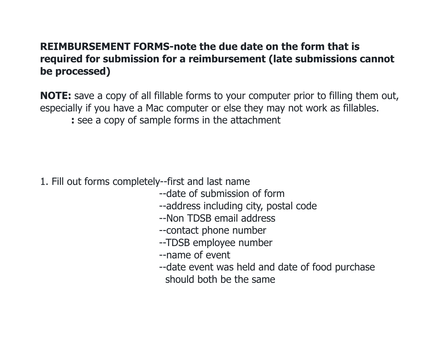#### **REIMBURSEMENT FORMS-note the due date on the form that is required for submission for a reimbursement (late submissions cannot be processed)**

**NOTE:** save a copy of all fillable forms to your computer prior to filling them out, especially if you have a Mac computer or else they may not work as fillables.

**:** see a copy of sample forms in the attachment

- 1. Fill out forms completely--first and last name
	- --date of submission of form
	- --address including city, postal code
	- --Non TDSB email address
	- --contact phone number
	- --TDSB employee number
	- --name of event
	- --date event was held and date of food purchase should both be the same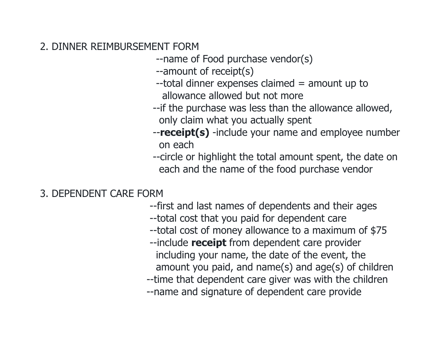#### 2. DINNER REIMBURSEMENT FORM

--name of Food purchase vendor(s)

- --amount of receipt(s)
- --total dinner expenses claimed = amount up to allowance allowed but not more
- --if the purchase was less than the allowance allowed, only claim what you actually spent
- --**receipt(s)** -include your name and employee number on each
- --circle or highlight the total amount spent, the date on each and the name of the food purchase vendor

### 3. DEPENDENT CARE FORM

- --first and last names of dependents and their ages
- --total cost that you paid for dependent care
- --total cost of money allowance to a maximum of \$75
- --include **receipt** from dependent care provider including your name, the date of the event, the amount you paid, and name(s) and age(s) of children
- --time that dependent care giver was with the children
- --name and signature of dependent care provide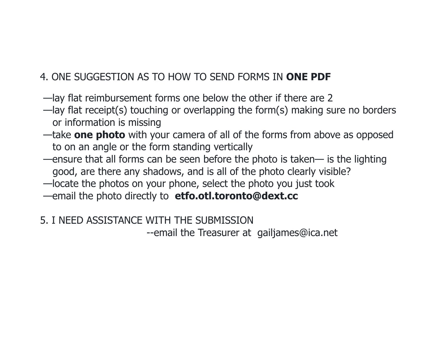# 4. ONE SUGGESTION AS TO HOW TO SEND FORMS IN **ONE PDF**

- —lay flat reimbursement forms one below the other if there are 2
- —lay flat receipt(s) touching or overlapping the form(s) making sure no borders or information is missing
- —take **one photo** with your camera of all of the forms from above as opposed to on an angle or the form standing vertically
- —ensure that all forms can be seen before the photo is taken— is the lighting good, are there any shadows, and is all of the photo clearly visible?
- —locate the photos on your phone, select the photo you just took
- —email the photo directly to **etfo.otl.toronto@dext.cc**
- 5. I NEED ASSISTANCE WITH THE SUBMISSION

--email the Treasurer at gailjames@ica.net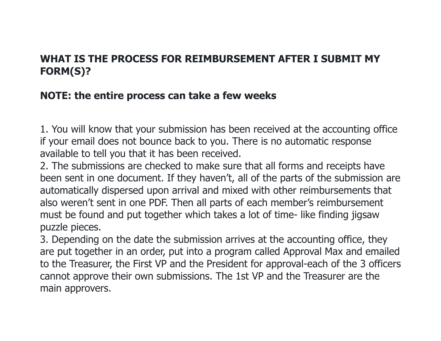#### **WHAT IS THE PROCESS FOR REIMBURSEMENT AFTER I SUBMIT MY FORM(S)?**

## **NOTE: the entire process can take a few weeks**

1. You will know that your submission has been received at the accounting office if your email does not bounce back to you. There is no automatic response available to tell you that it has been received.

2. The submissions are checked to make sure that all forms and receipts have been sent in one document. If they haven't, all of the parts of the submission are automatically dispersed upon arrival and mixed with other reimbursements that also weren't sent in one PDF. Then all parts of each member's reimbursement must be found and put together which takes a lot of time- like finding jigsaw puzzle pieces.

3. Depending on the date the submission arrives at the accounting office, they are put together in an order, put into a program called Approval Max and emailed to the Treasurer, the First VP and the President for approval-each of the 3 officers cannot approve their own submissions. The 1st VP and the Treasurer are the main approvers.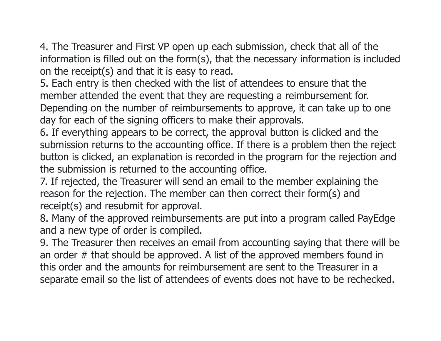4. The Treasurer and First VP open up each submission, check that all of the information is filled out on the form(s), that the necessary information is included on the receipt(s) and that it is easy to read.

5. Each entry is then checked with the list of attendees to ensure that the member attended the event that they are requesting a reimbursement for. Depending on the number of reimbursements to approve, it can take up to one day for each of the signing officers to make their approvals.

6. If everything appears to be correct, the approval button is clicked and the submission returns to the accounting office. If there is a problem then the reject button is clicked, an explanation is recorded in the program for the rejection and the submission is returned to the accounting office.

7. If rejected, the Treasurer will send an email to the member explaining the reason for the rejection. The member can then correct their form(s) and receipt(s) and resubmit for approval.

8. Many of the approved reimbursements are put into a program called PayEdge and a new type of order is compiled.

9. The Treasurer then receives an email from accounting saying that there will be an order # that should be approved. A list of the approved members found in this order and the amounts for reimbursement are sent to the Treasurer in a separate email so the list of attendees of events does not have to be rechecked.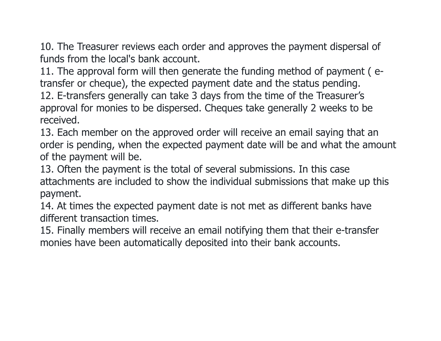10. The Treasurer reviews each order and approves the payment dispersal of funds from the local's bank account.

11. The approval form will then generate the funding method of payment ( etransfer or cheque), the expected payment date and the status pending.

12. E-transfers generally can take 3 days from the time of the Treasurer's approval for monies to be dispersed. Cheques take generally 2 weeks to be received.

13. Each member on the approved order will receive an email saying that an order is pending, when the expected payment date will be and what the amount of the payment will be.

13. Often the payment is the total of several submissions. In this case attachments are included to show the individual submissions that make up this payment.

14. At times the expected payment date is not met as different banks have different transaction times.

15. Finally members will receive an email notifying them that their e-transfer monies have been automatically deposited into their bank accounts.